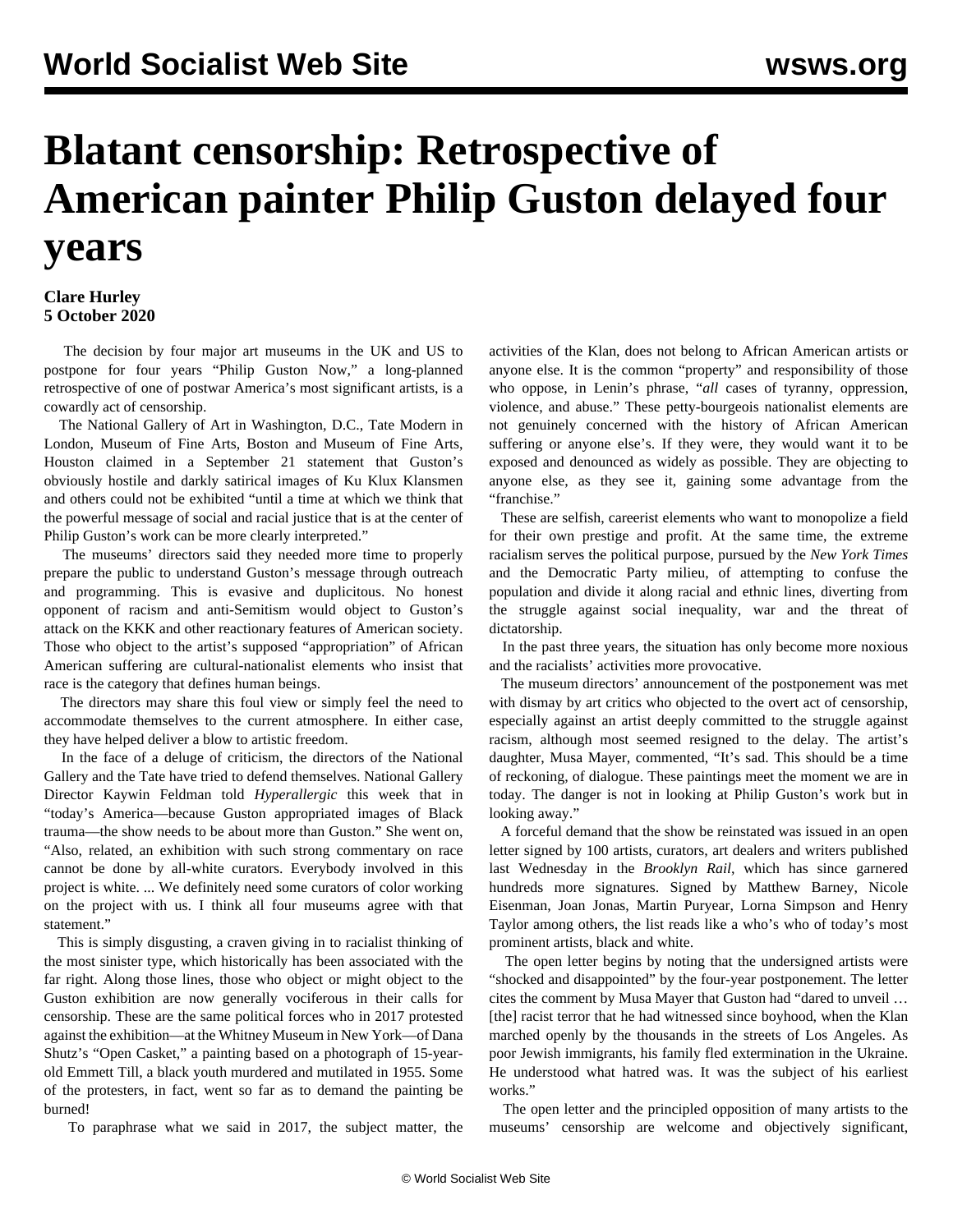## **Blatant censorship: Retrospective of American painter Philip Guston delayed four years**

## **Clare Hurley 5 October 2020**

 The decision by four major art museums in the UK and US to postpone for four years "Philip Guston Now," a long-planned retrospective of one of postwar America's most significant artists, is a cowardly act of censorship.

 The National Gallery of Art in Washington, D.C., Tate Modern in London, Museum of Fine Arts, Boston and Museum of Fine Arts, Houston claimed in a September 21 statement that Guston's obviously hostile and darkly satirical images of Ku Klux Klansmen and others could not be exhibited "until a time at which we think that the powerful message of social and racial justice that is at the center of Philip Guston's work can be more clearly interpreted."

 The museums' directors said they needed more time to properly prepare the public to understand Guston's message through outreach and programming. This is evasive and duplicitous. No honest opponent of racism and anti-Semitism would object to Guston's attack on the KKK and other reactionary features of American society. Those who object to the artist's supposed "appropriation" of African American suffering are cultural-nationalist elements who insist that race is the category that defines human beings.

 The directors may share this foul view or simply feel the need to accommodate themselves to the current atmosphere. In either case, they have helped deliver a blow to artistic freedom.

 In the face of a deluge of criticism, the directors of the National Gallery and the Tate have tried to defend themselves. National Gallery Director Kaywin Feldman told *Hyperallergic* this week that in "today's America—because Guston appropriated images of Black trauma—the show needs to be about more than Guston." She went on, "Also, related, an exhibition with such strong commentary on race cannot be done by all-white curators. Everybody involved in this project is white. ... We definitely need some curators of color working on the project with us. I think all four museums agree with that statement."

 This is simply disgusting, a craven giving in to racialist thinking of the most sinister type, which historically has been associated with the far right. Along those lines, those who object or might object to the Guston exhibition are now generally vociferous in their calls for censorship. These are the same political forces who in 2017 protested against the exhibition—at the Whitney Museum in New York—of Dana Shutz's "Open Casket," a painting based on a photograph of 15-yearold Emmett Till, a black youth murdered and mutilated in 1955. Some of the protesters, in fact, went so far as to demand the painting be burned!

To paraphrase what [we said](/en/articles/2017/03/24/till-m24.html) in 2017, the subject matter, the

activities of the Klan, does not belong to African American artists or anyone else. It is the common "property" and responsibility of those who oppose, in Lenin's phrase, "*all* cases of tyranny, oppression, violence, and abuse." These petty-bourgeois nationalist elements are not genuinely concerned with the history of African American suffering or anyone else's. If they were, they would want it to be exposed and denounced as widely as possible. They are objecting to anyone else, as they see it, gaining some advantage from the "franchise."

 These are selfish, careerist elements who want to monopolize a field for their own prestige and profit. At the same time, the extreme racialism serves the political purpose, pursued by the *New York Times* and the Democratic Party milieu, of attempting to confuse the population and divide it along racial and ethnic lines, diverting from the struggle against social inequality, war and the threat of dictatorship.

 In the past three years, the situation has only become more noxious and the racialists' activities more provocative.

 The museum directors' announcement of the postponement was met with dismay by art critics who objected to the overt act of censorship, especially against an artist deeply committed to the struggle against racism, although most seemed resigned to the delay. The artist's daughter, Musa Mayer, commented, "It's sad. This should be a time of reckoning, of dialogue. These paintings meet the moment we are in today. The danger is not in looking at Philip Guston's work but in looking away."

 A forceful demand that the show be reinstated was issued in an open letter signed by 100 artists, curators, art dealers and writers published last Wednesday in the *Brooklyn Rail*, which has since garnered hundreds more signatures. Signed by Matthew Barney, Nicole Eisenman, Joan Jonas, Martin Puryear, Lorna Simpson and Henry Taylor among others, the list reads like a who's who of today's most prominent artists, black and white.

 The open letter begins by noting that the undersigned artists were "shocked and disappointed" by the four-year postponement. The letter cites the comment by Musa Mayer that Guston had "dared to unveil … [the] racist terror that he had witnessed since boyhood, when the Klan marched openly by the thousands in the streets of Los Angeles. As poor Jewish immigrants, his family fled extermination in the Ukraine. He understood what hatred was. It was the subject of his earliest works."

 The open letter and the principled opposition of many artists to the museums' censorship are welcome and objectively significant,